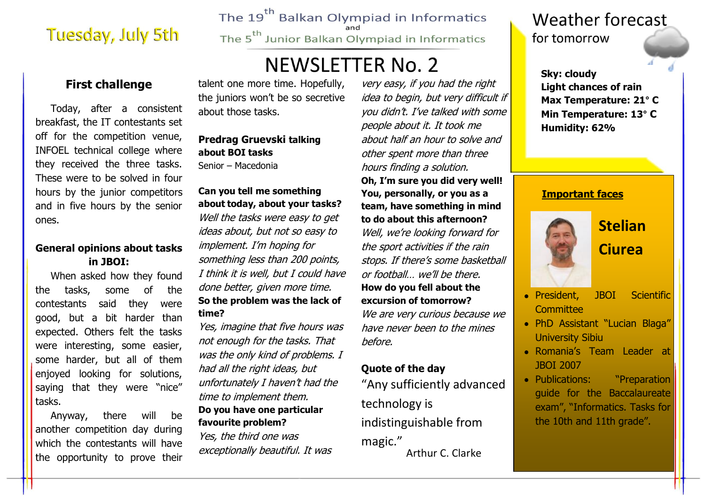## Tuesday, July 5th

The 19<sup>th</sup> Balkan Olympiad in Informatics The 5<sup>th</sup> Junior Balkan Olympiad in Informatics

## **NEWSLETTER No. 2**

### **First challenge**

Today, after a consistent breakfast, the IT contestants set off for the competition venue, INFOEL technical college where they received the three tasks. These were to be solved in four hours by the junior competitors and in five hours by the senior ones.

### **General opinions about tasks in JBOI:**

When asked how they found the tasks, some of the contestants said they were good, but a bit harder than expected. Others felt the tasks were interesting, some easier, some harder, but all of them enjoyed looking for solutions, saying that they were "nice" tasks.

Anyway, there will be another competition day during which the contestants will have the opportunity to prove their talent one more time. Hopefully, the juniors won't be so secretive about those tasks.

### **Predrag Gruevski talking about BOI tasks** Senior – Macedonia

**Can you tell me something about today, about your tasks?** Well the tasks were easy to get ideas about, but not so easy to implement. I'm hoping for something less than 200 points, I think it is well, but I could have done better, given more time. **So the problem was the lack of time?**

Yes, imagine that five hours was not enough for the tasks. That was the only kind of problems. I had all the right ideas, but unfortunately I haven't had the time to implement them. **Do you have one particular favourite problem?**

Yes, the third one was exceptionally beautiful. It was

very easy, if you had the right idea to begin, but very difficult if you didn't. I've talked with some people about it. It took me about half an hour to solve and other spent more than three hours finding a solution. **Oh, I'm sure you did very well!** 

**You, personally, or you as a team, have something in mind to do about this afternoon?** Well, we're looking forward for the sport activities if the rain stops. If there's some basketball or football… we'll be there. **How do you fell about the excursion of tomorrow?** We are very curious because we have never been to the mines before.

### **Quote of the day**

"Any sufficiently advanced technology is indistinguishable from magic."

Arthur C. Clarke

### **Weather forecast** for tomorrow

**Sky: cloudy Light chances of rain Max Temperature: 21° C Min Temperature: 13° C Humidity: 62%**

### **Important faces**



## **Stelian Ciurea**

- President, JBOI Scientific **Committee**
- PhD Assistant "Lucian Blaga" University Sibiu
- Romania's Team Leader at JBOI 2007
- Publications: "Preparation guide for the Baccalaureate exam", "Informatics. Tasks for the 10th and 11th grade".